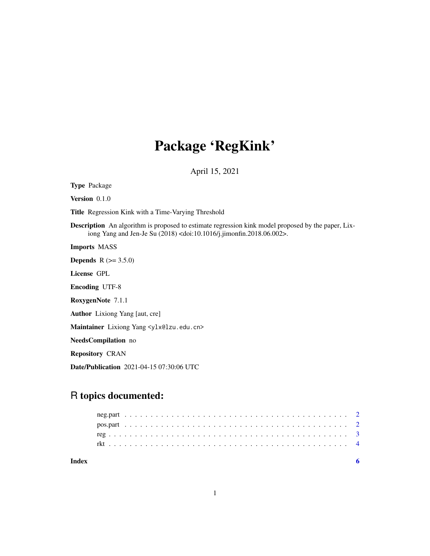## Package 'RegKink'

April 15, 2021

Type Package Version 0.1.0 Title Regression Kink with a Time-Varying Threshold Description An algorithm is proposed to estimate regression kink model proposed by the paper, Lixiong Yang and Jen-Je Su (2018) <doi:10.1016/j.jimonfin.2018.06.002>. Imports MASS **Depends**  $R (= 3.5.0)$ License GPL Encoding UTF-8 RoxygenNote 7.1.1 Author Lixiong Yang [aut, cre] Maintainer Lixiong Yang <ylx@lzu.edu.cn> NeedsCompilation no Repository CRAN Date/Publication 2021-04-15 07:30:06 UTC

### R topics documented:

| Index |  |  |  |  |  |  |  |  |  |  |  |  |  |  |  |  |  |  |  |  |  |  |  |
|-------|--|--|--|--|--|--|--|--|--|--|--|--|--|--|--|--|--|--|--|--|--|--|--|
|       |  |  |  |  |  |  |  |  |  |  |  |  |  |  |  |  |  |  |  |  |  |  |  |
|       |  |  |  |  |  |  |  |  |  |  |  |  |  |  |  |  |  |  |  |  |  |  |  |
|       |  |  |  |  |  |  |  |  |  |  |  |  |  |  |  |  |  |  |  |  |  |  |  |
|       |  |  |  |  |  |  |  |  |  |  |  |  |  |  |  |  |  |  |  |  |  |  |  |
|       |  |  |  |  |  |  |  |  |  |  |  |  |  |  |  |  |  |  |  |  |  |  |  |

1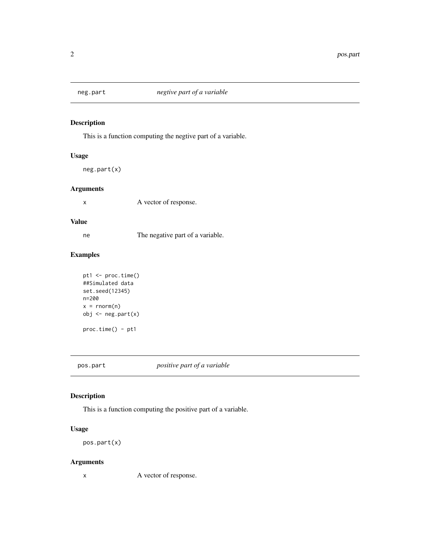<span id="page-1-0"></span>

#### Description

This is a function computing the negtive part of a variable.

#### Usage

neg.part(x)

#### Arguments

x A vector of response.

#### Value

ne The negative part of a variable.

#### Examples

```
pt1 <- proc.time()
##Simulated data
set.seed(12345)
n=200
x = \text{norm}(n)obj <- neg.part(x)
proc.time() - pt1
```
pos.part *positive part of a variable*

#### Description

This is a function computing the positive part of a variable.

#### Usage

```
pos.part(x)
```
#### Arguments

x A vector of response.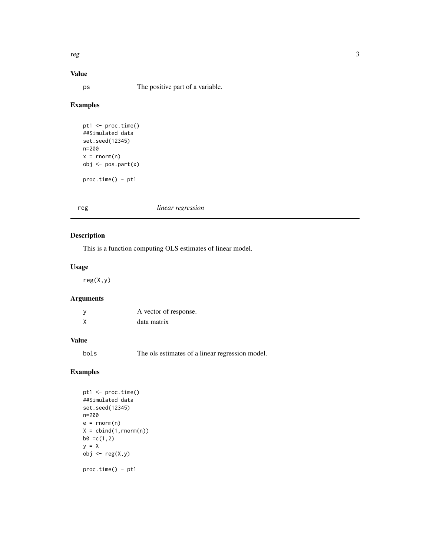<span id="page-2-0"></span>reg 3

### Value

ps The positive part of a variable.

#### Examples

```
pt1 <- proc.time()
##Simulated data
set.seed(12345)
n=200
x = \text{norm}(n)obj <- pos.part(x)
proc.time() - pt1
```
#### reg *linear regression*

#### Description

This is a function computing OLS estimates of linear model.

#### Usage

reg(X,y)

#### Arguments

| У | A vector of response. |
|---|-----------------------|
|   | data matrix           |

#### Value

bols The ols estimates of a linear regression model.

#### Examples

```
pt1 <- proc.time()
##Simulated data
set.seed(12345)
n=200
e = rnorm(n)X = \text{cbind}(1, \text{rnorm}(n))b0 = c(1,2)y = Xobj <- reg(X,y)
proc.time() - pt1
```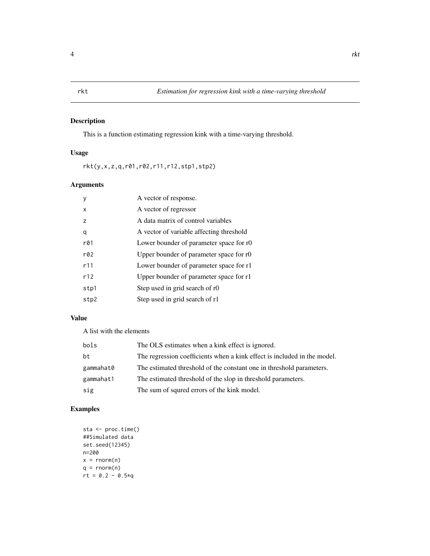#### <span id="page-3-0"></span>Description

This is a function estimating regression kink with a time-varying threshold.

#### Usage

rkt(y,x,z,q,r01,r02,r11,r12,stp1,stp2)

#### Arguments

| ٧    | A vector of response.                    |
|------|------------------------------------------|
| x    | A vector of regressor                    |
| z    | A data matrix of control variables       |
| q    | A vector of variable affecting threshold |
| r@1  | Lower bounder of parameter space for r0  |
| r@2  | Upper bounder of parameter space for r0  |
| r11  | Lower bounder of parameter space for r1  |
| r12  | Upper bounder of parameter space for r1  |
| stp1 | Step used in grid search of r0           |
| stp2 | Step used in grid search of r1           |

#### Value

A list with the elements

| bols      | The OLS estimates when a kink effect is ignored.                         |
|-----------|--------------------------------------------------------------------------|
| bt        | The regression coefficients when a kink effect is included in the model. |
| gammahat0 | The estimated threshold of the constant one in threshold parameters.     |
| gammahat1 | The estimated threshold of the slop in threshold parameters.             |
| sig       | The sum of squred errors of the kink model.                              |

#### Examples

```
sta <- proc.time()
##Simulated data
set.seed(12345)
n=200
x = \text{norm}(n)q = rnorm(n)rt = 0.2 - 0.5*q
```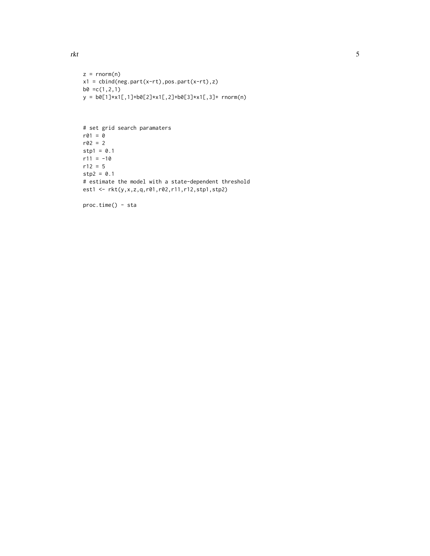```
z = \text{norm}(n)x1 = cbind(neg.part(x-rt),pos.part(x-rt),z)
b0 = c(1, 2, 1)y = b0[1]*x1[,1]+b0[2]*x1[,2]+b0[3]*x1[,3]+ rnorm(n)
```

```
# set grid search paramaters
r01 = 0r02 = 2stp1 = 0.1r11 = -10r12 = 5stp2 = 0.1# estimate the model with a state-dependent threshold
est1 <- rkt(y,x,z,q,r01,r02,r11,r12,stp1,stp2)
```

```
proc.time() - sta
```